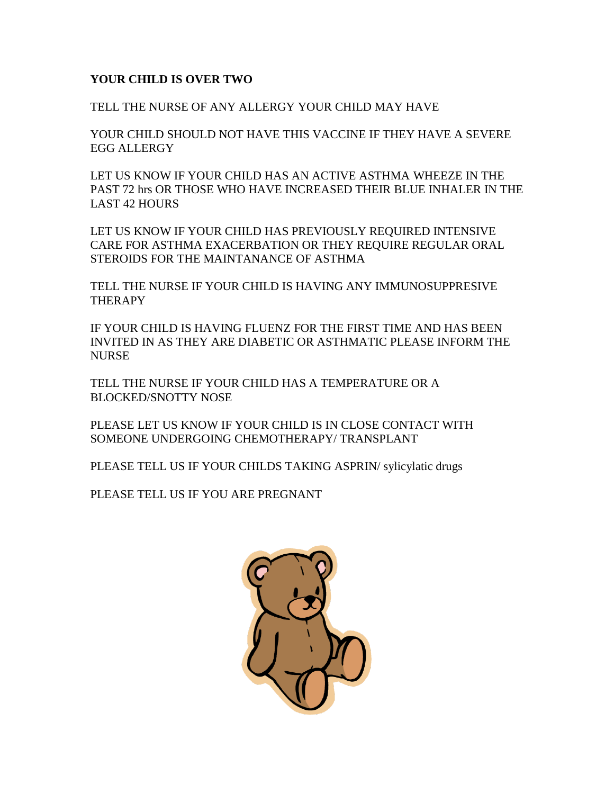## **YOUR CHILD IS OVER TWO**

TELL THE NURSE OF ANY ALLERGY YOUR CHILD MAY HAVE

YOUR CHILD SHOULD NOT HAVE THIS VACCINE IF THEY HAVE A SEVERE EGG ALLERGY

LET US KNOW IF YOUR CHILD HAS AN ACTIVE ASTHMA WHEEZE IN THE PAST 72 hrs OR THOSE WHO HAVE INCREASED THEIR BLUE INHALER IN THE LAST 42 HOURS

LET US KNOW IF YOUR CHILD HAS PREVIOUSLY REQUIRED INTENSIVE CARE FOR ASTHMA EXACERBATION OR THEY REQUIRE REGULAR ORAL STEROIDS FOR THE MAINTANANCE OF ASTHMA

TELL THE NURSE IF YOUR CHILD IS HAVING ANY IMMUNOSUPPRESIVE **THERAPY** 

IF YOUR CHILD IS HAVING FLUENZ FOR THE FIRST TIME AND HAS BEEN INVITED IN AS THEY ARE DIABETIC OR ASTHMATIC PLEASE INFORM THE **NURSE** 

TELL THE NURSE IF YOUR CHILD HAS A TEMPERATURE OR A BLOCKED/SNOTTY NOSE

PLEASE LET US KNOW IF YOUR CHILD IS IN CLOSE CONTACT WITH SOMEONE UNDERGOING CHEMOTHERAPY/ TRANSPLANT

PLEASE TELL US IF YOUR CHILDS TAKING ASPRIN/ sylicylatic drugs

PLEASE TELL US IF YOU ARE PREGNANT